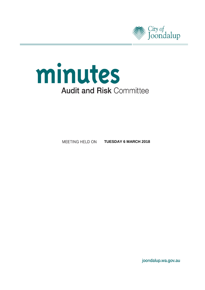



MEETING HELD ON **TUESDAY 6 MARCH 2018**

joondalup.wa.gov.au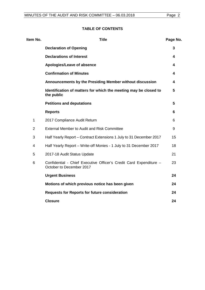## **TABLE OF CONTENTS**

| Item No.       | <b>Title</b>                                                                                   | Page No. |
|----------------|------------------------------------------------------------------------------------------------|----------|
|                | <b>Declaration of Opening</b>                                                                  | 3        |
|                | <b>Declarations of Interest</b>                                                                | 4        |
|                | Apologies/Leave of absence                                                                     | 4        |
|                | <b>Confirmation of Minutes</b>                                                                 | 4        |
|                | Announcements by the Presiding Member without discussion                                       | 4        |
|                | Identification of matters for which the meeting may be closed to<br>the public                 | 5        |
|                | <b>Petitions and deputations</b>                                                               | 5        |
|                | <b>Reports</b>                                                                                 | 6        |
| $\mathbf{1}$   | 2017 Compliance Audit Return                                                                   | 6        |
| 2              | External Member to Audit and Risk Committee                                                    | 9        |
| 3              | Half Yearly Report – Contract Extensions 1 July to 31 December 2017                            | 15       |
| $\overline{4}$ | Half Yearly Report - Write-off Monies - 1 July to 31 December 2017                             | 18       |
| 5              | 2017-18 Audit Status Update                                                                    | 21       |
| 6              | Confidential - Chief Executive Officer's Credit Card Expenditure -<br>October to December 2017 | 23       |
|                | <b>Urgent Business</b>                                                                         | 24       |
|                | Motions of which previous notice has been given                                                | 24       |
|                | <b>Requests for Reports for future consideration</b>                                           | 24       |
|                | <b>Closure</b>                                                                                 | 24       |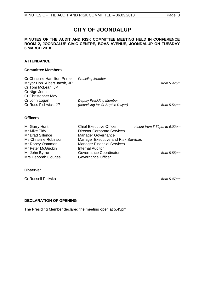# **CITY OF JOONDALUP**

#### **MINUTES OF THE AUDIT AND RISK COMMITTEE MEETING HELD IN CONFERENCE ROOM 2, JOONDALUP CIVIC CENTRE, BOAS AVENUE, JOONDALUP ON TUESDAY 6 MARCH 2018.**

#### **ATTENDANCE**

#### **Committee Members**

| <b>Officers</b>                    |                                  |                |
|------------------------------------|----------------------------------|----------------|
| Cr Russ Fishwick, JP               | (deputising for Cr Sophie Dwyer) | from 5.56pm    |
| Cr John Logan                      | <b>Deputy Presiding Member</b>   |                |
| Cr Christopher May                 |                                  |                |
| Cr Nige Jones                      |                                  |                |
| Cr Tom McLean, JP                  |                                  |                |
| Mayor Hon. Albert Jacob, JP        |                                  | from $5.47$ pm |
| <b>Cr Christine Hamilton-Prime</b> | <b>Presiding Member</b>          |                |

| Mr Garry Hunt         | <b>Chief Executive Officer</b>      | absent from 5.59pm to 6.02pm |
|-----------------------|-------------------------------------|------------------------------|
| Mr Mike Tidy          | <b>Director Corporate Services</b>  |                              |
| Mr Brad Sillence      | <b>Manager Governance</b>           |                              |
| Ms Christine Robinson | Manager Executive and Risk Services |                              |
| Mr Roney Oommen       | <b>Manager Financial Services</b>   |                              |
| Mr Peter McGuckin     | <b>Internal Auditor</b>             |                              |
| Mr John Byrne         | Governance Coordinator              | from 5.55pm                  |
| Mrs Deborah Gouges    | Governance Officer                  |                              |

#### **Observer**

Cr Russell Poliwka *from 5.47pm*

### <span id="page-2-0"></span>**DECLARATION OF OPENING**

<span id="page-2-1"></span>The Presiding Member declared the meeting open at 5.45pm.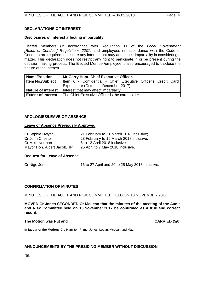#### **DECLARATIONS OF INTEREST**

#### **Disclosures of interest affecting impartiality**

Elected Members (in accordance with Regulation 11 of the *Local Government [Rules of Conduct] Regulations 2007)* and employees (in accordance with the Code of Conduct) are required to declare any interest that may affect their impartiality in considering a matter. This declaration does not restrict any right to participate in or be present during the decision making process. The Elected Member/employee is also encouraged to disclose the nature of the interest.

| <b>Name/Position</b>      | Mr Garry Hunt, Chief Executive Officer.                       |  |  |
|---------------------------|---------------------------------------------------------------|--|--|
| <b>Item No./Subject</b>   | Item 6 - Confidential - Chief Executive Officer's Credit Card |  |  |
|                           | Expenditure (October - December 2017).                        |  |  |
| <b>Nature of interest</b> | Interest that may affect impartiality.                        |  |  |
| <b>Extent of Interest</b> | The Chief Executive Officer is the card holder.               |  |  |

#### <span id="page-3-0"></span>**APOLOGIES/LEAVE OF ABSENCE**

#### **Leave of Absence Previously Approved**

| Cr Sophie Dwyer             | 21 February to 31 March 2018 inclusive; |
|-----------------------------|-----------------------------------------|
| Cr John Chester             | 23 February to 19 March 2018 inclusive; |
| Cr Mike Norman              | 6 to 13 April 2018 inclusive;           |
| Mayor Hon. Albert Jacob, JP | 26 April to 7 May 2018 inclusive.       |

#### <span id="page-3-1"></span>**Request for Leave of Absence**

Cr Nige Jones 16 to 27 April and 20 to 25 May 2018 inclusive.

#### **CONFIRMATION OF MINUTES**

#### MINUTES OF THE AUDIT AND RISK COMMITTEE HELD ON 13 NOVEMBER 2017

**MOVED Cr Jones SECONDED Cr McLean that the minutes of the meeting of the Audit and Risk Committee held on 13 November 2017 be confirmed as a true and correct record.**

#### **The Motion was Put and CARRIED (5/0) CARRIED (5/0)**

**In favour of the Motion:** Crs Hamilton-Prime, Jones, Logan, McLean and May.

#### <span id="page-3-2"></span>**ANNOUNCEMENTS BY THE PRESIDING MEMBER WITHOUT DISCUSSION**

<span id="page-3-3"></span>Nil.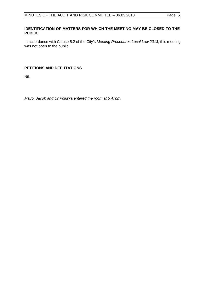#### **IDENTIFICATION OF MATTERS FOR WHICH THE MEETING MAY BE CLOSED TO THE PUBLIC**

In accordance with Clause 5.2 of the City's *Meeting Procedures Local Law 2013*, this meeting was not open to the public.

#### <span id="page-4-0"></span>**PETITIONS AND DEPUTATIONS**

Nil.

*Mayor Jacob and Cr Poliwka entered the room at 5.47pm.*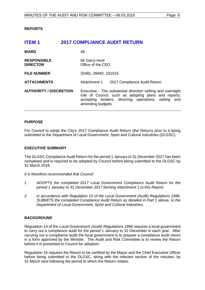#### <span id="page-5-0"></span>**REPORTS**

<span id="page-5-1"></span>

| ITEM 1                                | <b>2017 COMPLIANCE AUDIT RETURN</b>                                                                                                                                                              |
|---------------------------------------|--------------------------------------------------------------------------------------------------------------------------------------------------------------------------------------------------|
| <b>WARD</b>                           | All                                                                                                                                                                                              |
| <b>RESPONSIBLE</b><br><b>DIRECTOR</b> | Mr Garry Hunt<br>Office of the CEO                                                                                                                                                               |
| <b>FILE NUMBER</b>                    | 32481, 09492, 101515                                                                                                                                                                             |
| <b>ATTACHMENTS</b>                    | Attachment 1<br>2017 Compliance Audit Return                                                                                                                                                     |
| <b>AUTHORITY / DISCRETION</b>         | Executive - The substantial direction setting and oversight<br>role of Council, such as adopting plans and reports,<br>accepting tenders, directing operations, setting and<br>amending budgets. |

#### **PURPOSE**

For Council to adopt the City's 2017 Compliance Audit Return (the Return) prior to it being submitted to the Department of Local Government, Sport and Cultural Industries (DLGSC).

#### **EXECUTIVE SUMMARY**

The DLGSC Compliance Audit Return for the period 1 January to 31 December 2017 has been completed and is required to be adopted by Council before being submitted to the DLGSC by 31 March 2018.

*It is therefore recommended that Council:*

- *1 ADOPTS the completed 2017 Local Government Compliance Audit Return for the period 1 January to 31 December 2017 forming Attachment 1 to this Report;*
- *2 in accordance with Regulation 15 of the Local Government (Audit) Regulations 1996, SUBMITS the completed Compliance Audit Return as detailed in Part 1 above, to the Department of Local Government, Sport and Cultural Industries.*

#### **BACKGROUND**

Regulation 14 of the *Local Government (Audit) Regulations 1996* requires a local government to carry out a compliance audit for the period 1 January to 31 December in each year. After carrying out a compliance audit the local government is to prepare a compliance audit return in a form approved by the Minister. The Audit and Risk Committee is to review the Return before it is presented to Council for adoption.

Regulation 15 requires the Return to be certified by the Mayor and the Chief Executive Officer before being submitted to the DLGSC, along with the relevant section of the minutes, by 31 March next following the period to which the Return relates.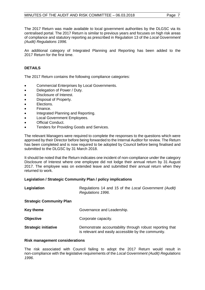The 2017 Return was made available to local government authorities by the DLGSC via its centralised portal. The 2017 Return is similar to previous years and focuses on high risk areas of compliance and statutory reporting as prescribed in Regulation 13 of the *Local Government (Audit) Regulations 1996.*

An additional category of Integrated Planning and Reporting has been added to the 2017 Return for the first time.

### **DETAILS**

The 2017 Return contains the following compliance categories:

- Commercial Enterprises by Local Governments.
- Delegation of Power / Duty.
- Disclosure of Interest.
- Disposal of Property.
- Elections.
- Finance.
- Integrated Planning and Reporting.
- Local Government Employees.
- Official Conduct.
- Tenders for Providing Goods and Services.

The relevant Managers were required to complete the responses to the questions which were approved by their Director before being forwarded to the Internal Auditor for review. The Return has been completed and is now required to be adopted by Council before being finalised and submitted to the DLGSC by 31 March 2018.

It should be noted that the Return indicates one incident of non-compliance under the category Disclosure of Interest where one employee did not lodge their annual return by 31 August 2017. The employee was on extended leave and submitted their annual return when they returned to work.

#### **Legislation / Strategic Community Plan / policy implications**

| Legislation                     | Regulations 14 and 15 of the Local Government (Audit)<br>Regulations 1996.                                      |
|---------------------------------|-----------------------------------------------------------------------------------------------------------------|
| <b>Strategic Community Plan</b> |                                                                                                                 |
| <b>Key theme</b>                | Governance and Leadership.                                                                                      |
| <b>Objective</b>                | Corporate capacity.                                                                                             |
| <b>Strategic initiative</b>     | Demonstrate accountability through robust reporting that<br>is relevant and easily accessible by the community. |

#### **Risk management considerations**

The risk associated with Council failing to adopt the 2017 Return would result in non-compliance with the legislative requirements of the *Local Government (Audit) Regulations 1996*.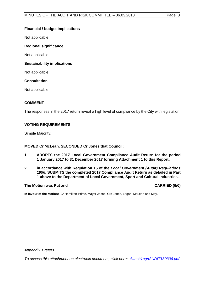#### **Financial / budget implications**

Not applicable.

#### **Regional significance**

Not applicable.

#### **Sustainability implications**

Not applicable.

#### **Consultation**

Not applicable.

#### **COMMENT**

The responses in the 2017 return reveal a high level of compliance by the City with legislation.

#### **VOTING REQUIREMENTS**

Simple Majority.

**MOVED Cr McLean, SECONDED Cr Jones that Council:**

- **1 ADOPTS the 2017 Local Government Compliance Audit Return for the period 1 January 2017 to 31 December 2017 forming Attachment 1 to this Report;**
- **2 in accordance with Regulation 15 of the** *Local Government (Audit) Regulations 1996***, SUBMITS the completed 2017 Compliance Audit Return as detailed in Part 1 above to the Department of Local Government, Sport and Cultural Industries.**

#### The Motion was Put and **CARRIED** (6/0)

**In favour of the Motion:** Cr Hamilton-Prime, Mayor Jacob, Crs Jones, Logan, McLean and May.

*Appendix 1 refers*

*To access this attachment on electronic document, click here[: Attach1agnAUDIT180306.pdf](http://www.joondalup.wa.gov.au/files/committees/AURI/2018/Attach1agnAUDIT180306.pdf)*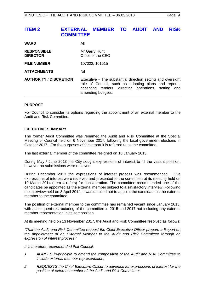# <span id="page-8-0"></span>**ITEM 2 EXTERNAL MEMBER TO AUDIT AND RISK COMMITTEE**

| <b>WARD</b>                           | All                                                                                                                                                                                                 |
|---------------------------------------|-----------------------------------------------------------------------------------------------------------------------------------------------------------------------------------------------------|
| <b>RESPONSIBLE</b><br><b>DIRECTOR</b> | Mr Garry Hunt<br>Office of the CEO                                                                                                                                                                  |
| <b>FILE NUMBER</b>                    | 107022, 101515                                                                                                                                                                                      |
| <b>ATTACHMENTS</b>                    | Nil                                                                                                                                                                                                 |
| <b>AUTHORITY / DISCRETION</b>         | Executive - The substantial direction setting and oversight<br>role of Council, such as adopting plans and reports,<br>accepting tenders, directing operations, setting<br>and<br>amending budgets. |

#### **PURPOSE**

For Council to consider its options regarding the appointment of an external member to the Audit and Risk Committee.

#### **EXECUTIVE SUMMARY**

The former Audit Committee was renamed the Audit and Risk Committee at the Special Meeting of Council held on 6 November 2017, following the local government elections in October 2017. For the purposes of this report it is referred to as the committee.

The last external member of the committee resigned on 10 January 2013.

During May / June 2013 the City sought expressions of interest to fill the vacant position, however no submissions were received.

During December 2013 the expressions of interest process was recommenced. Five expressions of interest were received and presented to the committee at its meeting held on 10 March 2014 (Item 4 refers) for consideration. The committee recommended one of the candidates be appointed as the external member subject to a satisfactory interview. Following the interview held on 8 April 2014, it was decided not to appoint the candidate as the external member to the committee.

The position of external member to the committee has remained vacant since January 2013, with subsequent restructuring of the committee in 2015 and 2017 not including any external member representation in its composition.

At its meeting held on 13 November 2017, the Audit and Risk Committee resolved as follows:

*"That the Audit and Risk Committee request the Chief Executive Officer prepare a Report on the appointment of an External Member to the Audit and Risk Committee through an expression of interest process."*

*It is therefore recommended that Council:*

- *1 AGREES in-principle to amend the composition of the Audit and Risk Committee to include external member representation;*
- *2 REQUESTS the Chief Executive Officer to advertise for expressions of interest for the position of external member of the Audit and Risk Committee;*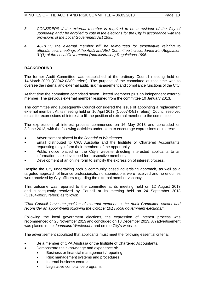- *3 CONSIDERS if the external member is required to be a resident of the City of Joondalup and / be enrolled to vote in the elections for the City in accordance with the provisions of the Local Government Act 1995;*
- *4 AGREES the external member will be reimbursed for expenditure relating to attendance at meetings of the Audit and Risk Committee in accordance with Regulation 31(1) of the Local Government (Administration) Regulations 1996.*

#### **BACKGROUND**

The former Audit Committee was established at the ordinary Council meeting held on 14 March 2000 (CJ042-03/00 refers). The purpose of the committee at that time was to oversee the internal and external audit, risk management and compliance functions of the City.

At that time the committee comprised seven Elected Members plus an independent external member. The previous external member resigned from the committee 10 January 2013.

The committee and subsequently Council considered the issue of appointing a replacement external member. At its meeting held on 16 April 2013 (CJ057-04/13 refers), Council resolved to call for expressions of interest to fill the position of external member to the committee.

The expressions of interest process commenced on 16 May 2013 and concluded on 3 June 2013, with the following activities undertaken to encourage expressions of interest:

- Advertisement placed in the *Joondalup Weekender*.
- Email distributed to CPA Australia and the Institute of Chartered Accountants, requesting they inform their members of the opportunity.
- Public notice placed on the City's website directing interested applicants to an information pack developed for prospective members.
- Development of an online form to simplify the expression of interest process.

Despite the City undertaking both a community based advertising approach, as well as a targeted approach of finance professionals, no submissions were received and no enquiries were received by City officers regarding the external member vacancy.

This outcome was reported to the committee at its meeting held on 12 August 2013 and subsequently resolved by Council at its meeting held on 24 September 2013 (CJ184-09/13 refers) as follows:

"*That Council leave the position of external member to the Audit Committee vacant and reconsider an appointment following the October 2013 local government elections.*".

Following the local government elections, the expression of interest process was recommenced on 28 November 2013 and concluded on 13 December 2013. An advertisement was placed in the *Joondalup Weekender* and on the City's website.

The advertisement stipulated that applicants must meet the following essential criteria:

- Be a member of CPA Australia or the Institute of Chartered Accountants.
	- Demonstrate their knowledge and experience of:
		- Business or financial management / reporting
		- Risk management systems and procedures
		- Internal business controls
		- Legislative compliance programs.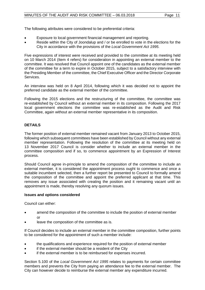The following attributes were considered to be preferential criteria:

- Exposure to local government financial management and reporting.
- Reside within the City of Joondalup and / or be enrolled to vote in the elections for the City in accordance with the provisions of the *Local Government Act 1995*.

Five expressions of interest were received and provided to the committee at its meeting held on 10 March 2014 (Item 4 refers) for consideration in appointing an external member to the committee. It was resolved that Council appoint one of the candidates as the external member of the committee for a term to expire in October 2015, subject to a satisfactory interview with the Presiding Member of the committee, the Chief Executive Officer and the Director Corporate Services.

An interview was held on 8 April 2014, following which it was decided not to appoint the preferred candidate as the external member of the committee.

Following the 2015 elections and the restructuring of the committee, the committee was re-established by Council without an external member in its composition. Following the 2017 local government elections the committee was re-established as the Audit and Risk Committee, again without an external member representative in its composition.

### **DETAILS**

The former position of external member remained vacant from January 2013 to October 2015, following which subsequent committees have been established by Council without any external member representation. Following the resolution of the committee at its meeting held on 13 November 2017 Council is consider whether to include an external member in the committee composition and if so, to commence appointment by an Expression of Interest process.

Should Council agree in-principle to amend the composition of the committee to include an external member, it is considered the appointment process ought to commence and once a suitable incumbent selected, then a further report be presented to Council to formally amend the composition of the committee and appoint the preferred applicant at that time. This removes any issue associated with creating the position and it remaining vacant until an appointment is made, thereby resolving any quorum issues.

#### **Issues and options considered**

Council can either:

- amend the composition of the committee to include the position of external member or
- leave the composition of the committee as is.

If Council decides to include an external member in the committee composition, further points to be considered for the appointment of such a member include:

- the qualifications and experience required for the position of external member
- if the external member should be a resident of the City
- if the external member is to be reimbursed for expenses incurred.

Section 5.100 of the *Local Government Act 1995* relates to payments for certain committee members and prevents the City from paying an attendance fee to the external member. The City can however decide to reimburse the external member any expenditure incurred.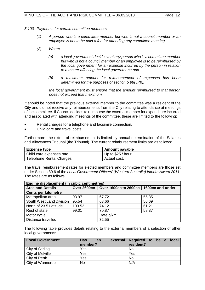*5.100 Payments for certain committee members*

- *(1) A person who is a committee member but who is not a council member or an employee is not to be paid a fee for attending any committee meeting.*
- *(2) Where –*
	- *(a) a local government decides that any person who is a committee member but who is not a council member or an employee is to be reimbursed by the local government for an expense incurred by the person in relation to a matter affecting the local government; and*
	- *(b) a maximum amount for reimbursement of expenses has been determined for the purposes of section 5.98(3)(b),*

*the local government must ensure that the amount reimbursed to that person does not exceed that maximum.* 

It should be noted that the previous external member to the committee was a resident of the City and did not receive any reimbursements from the City relating to attendance at meetings of the committee. If Council decides to reimburse the external member for expenditure incurred and associated with attending meetings of the committee, these are limited to the following:

- Rental charges for a telephone and facsimile connection.
- Child care and travel costs.

Furthermore, the extent of reimbursement is limited by annual determination of the Salaries and Allowances Tribunal (the Tribunal). The current reimbursement limits are as follows:

| <b>Expense type</b>             | <b>Amount payable</b> |
|---------------------------------|-----------------------|
| Child care expenses rate        | Up to $$25 / hour$ .  |
| <b>Telephone Rental Charges</b> | Actual cost.          |

The travel reimbursement rates for elected members and committee members are those set under Section 30.6 of the *Local Government Officers' (Western Australia) Interim Award 2011*. The rates are as follows:

| Engine displacement (in cubic centimetres) |        |                                                        |       |
|--------------------------------------------|--------|--------------------------------------------------------|-------|
| <b>Area and Details</b>                    |        | Over 2600cc   Over 1600cc to 2600cc   1600cc and under |       |
| <b>Cents per kilometre</b>                 |        |                                                        |       |
| Metropolitan area                          | 93.97  | 67.72                                                  | 55.85 |
| South West Land Division                   | 95.54  | 68.66                                                  | 56.69 |
| North of 23.5 Latitude                     | 103.52 | 74.12                                                  | 61.21 |
| Rest of state                              | 99.01  | 70.87                                                  | 58.37 |
| Motor cycle                                |        | Rate c/km                                              |       |
| Distance travelled                         |        | 32.55                                                  |       |

The following table provides details relating to the external members of a selection of other local governments:

| <b>Local Government</b> | <b>Has</b><br>external<br>an<br>member? | Required to be a local<br>resident? |
|-------------------------|-----------------------------------------|-------------------------------------|
| City of Stirling        | Yes                                     | No                                  |
| City of Melville        | Yes                                     | Yes                                 |
| City of Perth           | Yes                                     | No                                  |
| City of Wanneroo        | <b>No</b>                               | N/A                                 |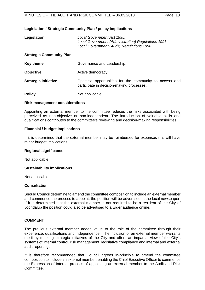#### **Legislation / Strategic Community Plan / policy implications**

| Legislation                     | <b>Local Government Act 1995.</b><br>Local Government (Administration) Regulations 1996.<br>Local Government (Audit) Regulations 1996. |  |
|---------------------------------|----------------------------------------------------------------------------------------------------------------------------------------|--|
| <b>Strategic Community Plan</b> |                                                                                                                                        |  |
| <b>Key theme</b>                | Governance and Leadership.                                                                                                             |  |
| <b>Objective</b>                | Active democracy.                                                                                                                      |  |
| <b>Strategic initiative</b>     | Optimise opportunities for the community to access and<br>participate in decision-making processes.                                    |  |
| <b>Policy</b>                   | Not applicable.                                                                                                                        |  |

#### **Risk management considerations**

Appointing an external member to the committee reduces the risks associated with being perceived as non-objective or non-independent. The introduction of valuable skills and qualifications contributes to the committee's reviewing and decision-making responsibilities.

#### **Financial / budget implications**

If it is determined that the external member may be reimbursed for expenses this will have minor budget implications.

#### **Regional significance**

Not applicable.

#### **Sustainability implications**

Not applicable.

#### **Consultation**

Should Council determine to amend the committee composition to include an external member and commence the process to appoint, the position will be advertised in the local newspaper. If it is determined that the external member is not required to be a resident of the City of Joondalup the position could also be advertised to a wider audience online.

#### **COMMENT**

The previous external member added value to the role of the committee through their experience, qualifications and independence. The inclusion of an external member warrants merit by meeting strategic initiatives of the City and offers an impartial view of the City's systems of internal control, risk management, legislative compliance and internal and external audit reporting.

It is therefore recommended that Council agrees in-principle to amend the committee composition to include an external member, enabling the Chief Executive Officer to commence the Expression of Interest process of appointing an external member to the Audit and Risk Committee.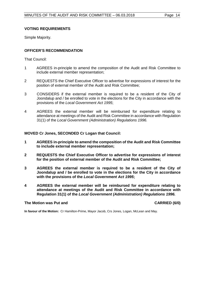#### **VOTING REQUIREMENTS**

Simple Majority.

### **OFFICER'S RECOMMENDATION**

That Council:

- 1 AGREES in-principle to amend the composition of the Audit and Risk Committee to include external member representation;
- 2 REQUESTS the Chief Executive Officer to advertise for expressions of interest for the position of external member of the Audit and Risk Committee;
- 3 CONSIDERS if the external member is required to be a resident of the City of Joondalup and / be enrolled to vote in the elections for the City in accordance with the provisions of the *Local Government Act 1995*;
- 4 AGREES the external member will be reimbursed for expenditure relating to attendance at meetings of the Audit and Risk Committee in accordance with Regulation 31(1) of the *Local Government (Administration) Regulations 1996.*

**MOVED Cr Jones, SECONDED Cr Logan that Council:**

- **1 AGREES in-principle to amend the composition of the Audit and Risk Committee to include external member representation;**
- **2 REQUESTS the Chief Executive Officer to advertise for expressions of interest for the position of external member of the Audit and Risk Committee;**
- **3 AGREES the external member is required to be a resident of the City of Joondalup and / be enrolled to vote in the elections for the City in accordance with the provisions of the** *Local Government Act 1995***;**
- **4 AGREES the external member will be reimbursed for expenditure relating to attendance at meetings of the Audit and Risk Committee in accordance with Regulation 31(1) of the** *Local Government (Administration) Regulations 1996.*

#### **The Motion was Put and CARRIED (6/0)**

<span id="page-13-0"></span>**In favour of the Motion:** Cr Hamilton-Prime, Mayor Jacob, Crs Jones, Logan, McLean and May.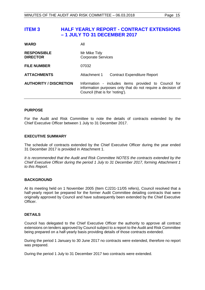# **ITEM 3 HALF YEARLY REPORT - CONTRACT EXTENSIONS – 1 JULY TO 31 DECEMBER 2017**

| <b>WARD</b>                           | All                                                                                                                                                    |  |
|---------------------------------------|--------------------------------------------------------------------------------------------------------------------------------------------------------|--|
| <b>RESPONSIBLE</b><br><b>DIRECTOR</b> | Mr Mike Tidy<br><b>Corporate Services</b>                                                                                                              |  |
| <b>FILE NUMBER</b>                    | 07032                                                                                                                                                  |  |
| <b>ATTACHMENTS</b>                    | Attachment 1<br><b>Contract Expenditure Report</b>                                                                                                     |  |
| <b>AUTHORITY / DISCRETION</b>         | Information - includes items provided to Council for<br>information purposes only that do not require a decision of<br>Council (that is for 'noting'). |  |

#### **PURPOSE**

For the Audit and Risk Committee to note the details of contracts extended by the Chief Executive Officer between 1 July to 31 December 2017.

#### **EXECUTIVE SUMMARY**

The schedule of contracts extended by the Chief Executive Officer during the year ended 31 December 2017 is provided in Attachment 1.

*It is recommended that the Audit and Risk Committee NOTES the contracts extended by the Chief Executive Officer during the period 1 July to 31 December 2017, forming Attachment 1 to this Report.*

#### **BACKGROUND**

At its meeting held on 1 November 2005 (Item CJ231-11/05 refers), Council resolved that a half-yearly report be prepared for the former Audit Committee detailing contracts that were originally approved by Council and have subsequently been extended by the Chief Executive **Officer** 

#### **DETAILS**

Council has delegated to the Chief Executive Officer the authority to approve all contract extensions on tenders approved by Council subject to a report to the Audit and Risk Committee being prepared on a half-yearly basis providing details of those contracts extended.

During the period 1 January to 30 June 2017 no contracts were extended, therefore no report was prepared.

During the period 1 July to 31 December 2017 two contracts were extended.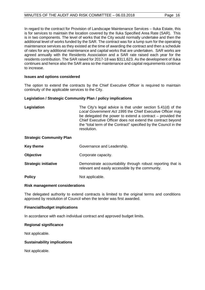In regard to the contract for Provision of Landscape Maintenance Services – Iluka Estate, this is for services to maintain the location covered by the Iluka Specified Area Rate (SAR). This is in two components. The level of works that the City would normally undertake and then the additional level of works funded by the SAR. The contract was for a lump sum for the operating maintenance services as they existed at the time of awarding the contract and then a schedule of rates for any additional maintenance and capital works that are undertaken. SAR works are agreed annually with the Residents Association and a SAR rate raised each year for the residents contribution. The SAR raised for 2017-18 was \$311,623. As the development of Iluka continues and hence also the SAR area so the maintenance and capital requirements continue to increase.

#### **Issues and options considered**

The option to extend the contracts by the Chief Executive Officer is required to maintain continuity of the applicable services to the City.

#### **Legislation / Strategic Community Plan / policy implications**

| Legislation | The City's legal advice is that under section 5.41(d) of the     |
|-------------|------------------------------------------------------------------|
|             | Local Government Act 1995 the Chief Executive Officer may        |
|             | be delegated the power to extend a contract $-$ provided the     |
|             | Chief Executive Officer does not extend the contract beyond      |
|             | the "total term of the Contract" specified by the Council in the |
|             | resolution.                                                      |

#### **Strategic Community Plan**

| Key theme                   | Governance and Leadership.                                                                                      |
|-----------------------------|-----------------------------------------------------------------------------------------------------------------|
| <b>Objective</b>            | Corporate capacity.                                                                                             |
| <b>Strategic initiative</b> | Demonstrate accountability through robust reporting that is<br>relevant and easily accessible by the community. |
| <b>Policy</b>               | Not applicable.                                                                                                 |

#### **Risk management considerations**

The delegated authority to extend contracts is limited to the original terms and conditions approved by resolution of Council when the tender was first awarded.

#### **Financial/budget implications**

In accordance with each individual contract and approved budget limits.

#### **Regional significance**

Not applicable.

#### **Sustainability implications**

Not applicable.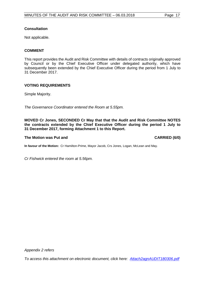#### **Consultation**

Not applicable.

#### **COMMENT**

This report provides the Audit and Risk Committee with details of contracts originally approved by Council or by the Chief Executive Officer under delegated authority, which have subsequently been extended by the Chief Executive Officer during the period from 1 July to 31 December 2017.

#### **VOTING REQUIREMENTS**

Simple Majority.

*The Governance Coordinator entered the Room at 5.55pm.* 

**MOVED Cr Jones, SECONDED Cr May that that the Audit and Risk Committee NOTES the contracts extended by the Chief Executive Officer during the period 1 July to 31 December 2017, forming Attachment 1 to this Report.**

#### **The Motion was Put and CARRIED (6/0)**

**In favour of the Motion:** Cr Hamilton-Prime, Mayor Jacob, Crs Jones, Logan, McLean and May.

*Cr Fishwick entered the room at 5.56pm.* 

*Appendix 2 refers*

*To access this attachment on electronic document, click here: [Attach2agnAUDIT180306.pdf](http://www.joondalup.wa.gov.au/files/committees/AURI/2018/Attach2agnAUDIT180306.pdf)*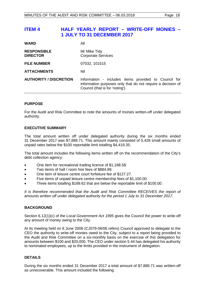# <span id="page-17-0"></span>**ITEM 4 HALF YEARLY REPORT – WRITE-OFF MONIES – 1 JULY TO 31 DECEMBER 2017**

| <b>WARD</b>                           | All                                                                                                                                                    |
|---------------------------------------|--------------------------------------------------------------------------------------------------------------------------------------------------------|
| <b>RESPONSIBLE</b><br><b>DIRECTOR</b> | Mr Mike Tidy<br><b>Corporate Services</b>                                                                                                              |
| <b>FILE NUMBER</b>                    | 07032, 101515                                                                                                                                          |
| <b>ATTACHMENTS</b>                    | Nil                                                                                                                                                    |
| <b>AUTHORITY / DISCRETION</b>         | Information - includes items provided to Council for<br>information purposes only that do not require a decision of<br>Council (that is for 'noting'). |
|                                       |                                                                                                                                                        |

#### **PURPOSE**

For the Audit and Risk Committee to note the amounts of monies written-off under delegated authority.

#### **EXECUTIVE SUMMARY**

The total amount written off under delegated authority during the six months ended 31 December 2017 was \$7,889.71. This amount mainly consisted of 5,428 small amounts of unpaid rates below the \$100 reportable limit totalling \$4,419.35.

The total amount includes the following items written off on the recommendation of the City's debt collection agency:

- One item for recreational trading licence of \$1,168.58.
- Two items of hall / room hire fees of \$884.89.
- One item of leisure centre court forfeiture fee of \$127.27.
- Five items of unpaid leisure centre membership fees of \$1,100.00.
- Three items totalling \$189.62 that are below the reportable limit of \$100.00.

*It is therefore recommended that the Audit and Risk Committee RECEIVES the report of amounts written off under delegated authority for the period 1 July to 31 December 2017.*

#### **BACKGROUND**

Section 6.12(1)(c) of the *Local Government Act 1995* gives the Council the power to write-off any amount of money owing to the City.

At its meeting held on 6 June 2006 (CJ079-06/06 refers) Council approved to delegate to the CEO the authority to write-off monies owed to the City, subject to a report being provided to the Audit and Risk Committee on a six-monthly basis on the exercise of this delegation for amounts between \$100 and \$20,000. The CEO under section 5.44 has delegated his authority to nominated employees, up to the limits provided in the instrument of delegation.

#### **DETAILS**

During the six months ended 31 December 2017 a total amount of \$7,889.71 was written-off as unrecoverable. This amount included the following: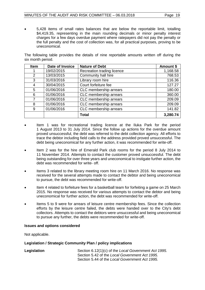• 5,428 items of small rates balances that are below the reportable limit, totalling \$4,419.35, representing in the main rounding decimals or minor penalty interest charges for a few days overdue payment where ratepayers did not pay the penalty or the full penalty and the cost of collection was, for all practical purposes, proving to be uneconomical.

The following table provides the details of nine reportable amounts written off during the six month period.

| <b>Item</b>    | Date of Invoice | <b>Nature of Debt</b>      | Amount \$ |
|----------------|-----------------|----------------------------|-----------|
|                | 19/02/2015      | Recreation trading licence | 1,168.58  |
| $\overline{2}$ | 13/03/2015      | Community hall hire        | 768.53    |
| 3              | 31/03/2016      | Library room hire          | 116.36    |
| 4              | 30/04/2015      | Court forfeiture fee       | 127.27    |
| 5              | 01/06/2016      | CLC membership arrears     | 180.00    |
| 6              | 01/06/2016      | CLC membership arrears     | 360.00    |
| 7              | 01/06/2016      | CLC membership arrears     | 209.09    |
| 8              | 01/06/2016      | CLC membership arrears     | 209.09    |
| 9              | 01/06/2016      | CLC membership arrears     | 141.82    |
|                |                 | <b>Total</b>               | 3,280.74  |

- Item 1 was for recreational trading licence at the Iluka Park for the period 1 August 2013 to 31 July 2014. Since the follow up actions for the overdue amount proved unsuccessful, the debt was referred to the debt collection agency. All efforts to trace the debtor including field calls to the address provided proved unsuccessful. The debt being uneconomical for any further action, it was recommended for write-off.
- Item 2 was for the hire of Emerald Park club rooms for the period 8 July 2014 to 11 November 2014. Attempts to contact the customer proved unsuccessful. The debt being outstanding for over three years and uneconomical to instigate further action, the debt was recommended for write- off.
- Items 3 related to the library meeting room hire on 11 March 2016. No response was received for the several attempts made to contact the debtor and being uneconomical to pursue, the debt was recommended for write-off.
- Item 4 related to forfeiture fees for a basketball team for forfeiting a game on 25 March 2015. No response was received for various attempts to contact the debtor and being uneconomical for further action, the debt was recommended for write-off.
- Items 5 to 9 were for arrears of leisure centre membership fees. Since the collection efforts by the leisure centre failed, the debts were handed over to the City's debt collectors. Attempts to contact the debtors were unsuccessful and being uneconomical to pursue any further, the debts were recommended for write-off.

#### **Issues and options considered**

Not applicable.

#### **Legislation / Strategic Community Plan / policy implications**

| Legislation | Section 6.12(1)(c) of the Local Government Act 1995. |
|-------------|------------------------------------------------------|
|             | Section 5.42 of the Local Government Act 1995.       |
|             | Section 5.44 of the Local Government Act 1995.       |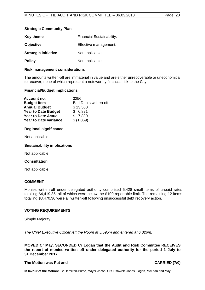#### **Strategic Community Plan**

| <b>Key theme</b>            | <b>Financial Sustainability.</b> |
|-----------------------------|----------------------------------|
| <b>Objective</b>            | Effective management.            |
| <b>Strategic initiative</b> | Not applicable.                  |
| <b>Policy</b>               | Not applicable.                  |

#### **Risk management considerations**

The amounts written-off are immaterial in value and are either unrecoverable or uneconomical to recover, none of which represent a noteworthy financial risk to the City.

#### **Financial/budget implications**

| Account no.                  | 3256                   |
|------------------------------|------------------------|
| <b>Budget Item</b>           | Bad Debts written-off. |
| <b>Annual Budget</b>         | \$13,500               |
| <b>Year to Date Budget</b>   | \$6,821                |
| <b>Year to Date Actual</b>   | \$7,890                |
| <b>Year to Date variance</b> | \$ (1,069)             |

#### **Regional significance**

Not applicable.

#### **Sustainability implications**

Not applicable.

#### **Consultation**

Not applicable.

#### **COMMENT**

Monies written-off under delegated authority comprised 5,428 small items of unpaid rates totalling \$4,419.35, all of which were below the \$100 reportable limit. The remaining 12 items totalling \$3,470.36 were all written-off following unsuccessful debt recovery action.

#### **VOTING REQUIREMENTS**

Simple Majority.

*The Chief Executive Officer left the Room at 5.59pm and entered at 6.02pm.*

**MOVED Cr May, SECONDED Cr Logan that the Audit and Risk Committee RECEIVES the report of monies written off under delegated authority for the period 1 July to 31 December 2017.**

### **The Motion was Put and CARRIED (7/0)**

**In favour of the Motion:** Cr Hamilton-Prime, Mayor Jacob, Crs Fishwick, Jones, Logan, McLean and May.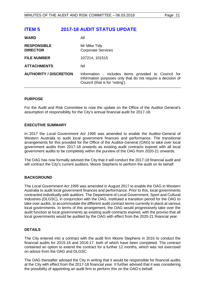<span id="page-20-0"></span>

| <b>ITEM 5</b>                         | <b>2017-18 AUDIT STATUS UPDATE</b>                                                                                                                     |
|---------------------------------------|--------------------------------------------------------------------------------------------------------------------------------------------------------|
| <b>WARD</b>                           | All                                                                                                                                                    |
| <b>RESPONSIBLE</b><br><b>DIRECTOR</b> | Mr Mike Tidy<br><b>Corporate Services</b>                                                                                                              |
| <b>FILE NUMBER</b>                    | 107214, 101515                                                                                                                                         |
| <b>ATTACHMENTS</b>                    | Nil                                                                                                                                                    |
| <b>AUTHORITY / DISCRETION</b>         | Information - includes items provided to Council for<br>information purposes only that do not require a decision of<br>Council (that is for 'noting'). |
|                                       |                                                                                                                                                        |

#### **PURPOSE**

For the Audit and Risk Committee to note the update on the Office of the Auditor General's assumption of responsibility for the City's annual financial audit for 2017-18.

#### **EXECUTIVE SUMMARY**

In 2017 the *Local Government Act 1995* was amended to enable the Auditor-General of Western Australia to audit local government finances and performance. The transitional arrangements for this provided for the Office of the Auditor-General (OAG) to take over local government audits from 2017-18 onwards as existing audit contracts expired with all local government audits to be completely within the purview of the OAG from 2020-21 onwards.

The OAG has now formally advised the City that it will conduct the 2017-18 financial audit and will contract the City's current auditors, Moore Stephens to perform the audit on its behalf.

#### **BACKGROUND**

The *Local Government Act 1995* was amended in August 2017 to enable the OAG in Western Australia to audit local government finances and performance. Prior to this, local governments contracted individually with auditors. The Department of Local Government, Sport and Cultural Industries (DLGSC), in conjunction with the OAG, instituted a transition period for the OAG to take over audits, to accommodate the different audit contract terms currently in place at various local governments. In terms of this arrangement, the OAG would progressively take over the audit function at local governments as existing audit contracts expired, with the proviso that all local governments would be audited by the OAG with effect from the 2020-21 financial year.

#### **DETAILS**

The City entered into a contract with the audit firm Moore Stephens in 2016 to conduct the financial audits for 2015-16 and 2016-17, both of which have been completed. The contract contained an option to extend the contract for a further 12 months, which was not exercised on advice from the OAG and DLGSC.

The OAG thereafter advised the City in writing that it would be responsible for financial audits at the City with effect from the 2017-18 financial year. It further advised that it was considering the possibility of appointing an audit firm to perform this on the OAG's behalf.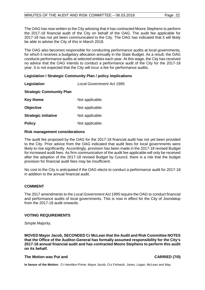The OAG has now written to the City advising that it has contracted Moore Stephens to perform the 2017-18 financial audit of the City on behalf of the OAG. The audit fee applicable for 2017-18 has not yet been communicated to the City. The OAG has indicated that it will likely be able to advise the City of this in March 2018.

The OAG also becomes responsible for conducting performance audits at local governments, for which it receives a budgetary allocation annually in the State Budget. As a result, the OAG conducts performance audits at selected entities each year. At this stage, the City has received no advice that the OAG intends to conduct a performance audit of the City for the 2017-18 year. It is not expected that the City will incur a fee for performance audits.

#### **Legislation / Strategic Community Plan / policy implications**

**Legislation** *Local Government Act 1995.*

#### **Strategic Community Plan**

| <b>Key theme</b>            | Not applicable. |
|-----------------------------|-----------------|
| <b>Objective</b>            | Not applicable. |
| <b>Strategic initiative</b> | Not applicable. |
| <b>Policy</b>               | Not applicable. |

#### **Risk management considerations**

The audit fee proposed by the OAG for the 2017-18 financial audit has not yet been provided to the City. Prior advice from the OAG indicated that audit fees for local governments were likely to rise significantly. Accordingly, provision has been made in the 2017-18 revised Budget for increased audit fees. As firm communication of the audit fee applicable will only be received after the adoption of the 2017-18 revised Budget by Council, there is a risk that the budget provision for financial audit fees may be insufficient.

No cost to the City is anticipated if the OAG elects to conduct a performance audit for 2017-18 in addition to the annual financial audit.

#### **COMMENT**

The 2017 amendments to the *Local Government Act 1995* require the OAG to conduct financial and performance audits of local governments. This is now in effect for the City of Joondalup from the 2017-18 audit onwards.

#### **VOTING REQUIREMENTS**

Simple Majority.

**MOVED Mayor Jacob, SECONDED Cr McLean that the Audit and Risk Committee NOTES that the Office of the Auditor-General has formally assumed responsibility for the City's 2017-18 annual financial audit and has contracted Moore Stephens to perform this audit on its behalf.** 

#### **The Motion was Put and CARRIED (7/0) CARRIED (7/0)**

**In favour of the Motion:** Cr Hamilton-Prime, Mayor Jacob, Crs Fishwick, Jones, Logan, McLean and May.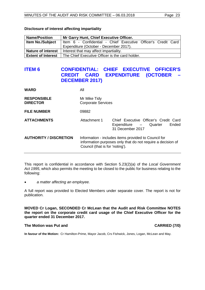| <b>Name/Position</b>      | Mr Garry Hunt, Chief Executive Officer.                       |  |  |
|---------------------------|---------------------------------------------------------------|--|--|
| <b>Item No./Subject</b>   | Item 6 - Confidential - Chief Executive Officer's Credit Card |  |  |
|                           | Expenditure (October - December 2017).                        |  |  |
| <b>Nature of interest</b> | Interest that may affect impartiality.                        |  |  |
| <b>Extent of Interest</b> | The Chief Executive Officer is the card holder.               |  |  |

#### **Disclosure of interest affecting impartiality**

# <span id="page-22-0"></span>**ITEM 6 CONFIDENTIAL: CHIEF EXECUTIVE OFFICER'S CREDIT CARD EXPENDITURE (OCTOBER – DECEMBER 2017)**

| <b>WARD</b>                           | All                                                                                                                                                    |                                                                                             |
|---------------------------------------|--------------------------------------------------------------------------------------------------------------------------------------------------------|---------------------------------------------------------------------------------------------|
| <b>RESPONSIBLE</b><br><b>DIRECTOR</b> | Mr Mike Tidy<br><b>Corporate Services</b>                                                                                                              |                                                                                             |
| <b>FILE NUMBER</b>                    | 09882                                                                                                                                                  |                                                                                             |
| <b>ATTACHMENTS</b>                    | Attachment 1                                                                                                                                           | Chief Executive Officer's Credit Card<br>Ended<br>Expenditure - Quarter<br>31 December 2017 |
| <b>AUTHORITY / DISCRETION</b>         | Information - includes items provided to Council for<br>information purposes only that do not require a decision of<br>Council (that is for 'noting'). |                                                                                             |

This report is confidential in accordance with Section 5.23(2)(a) of the *Local Government Act 1995*, which also permits the meeting to be closed to the public for business relating to the following:

• *a matter affecting an employee.*

A full report was provided to Elected Members under separate cover. The report is not for publication.

**MOVED Cr Logan, SECONDED Cr McLean that the Audit and Risk Committee NOTES the report on the corporate credit card usage of the Chief Executive Officer for the quarter ended 31 December 2017.**

#### The Motion was Put and **CARRIED** (7/0)

**In favour of the Motion:** Cr Hamilton-Prime, Mayor Jacob, Crs Fishwick, Jones, Logan, McLean and May.